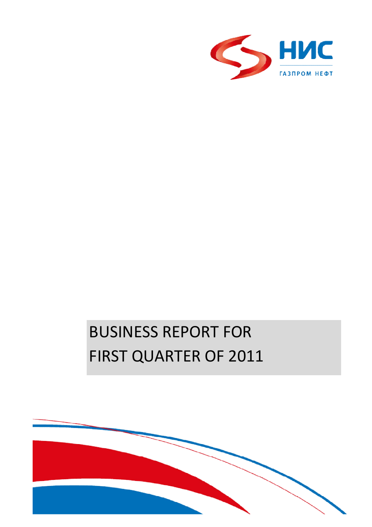

# BUSINESS REPORT FOR FIRST QUARTER OF 2011

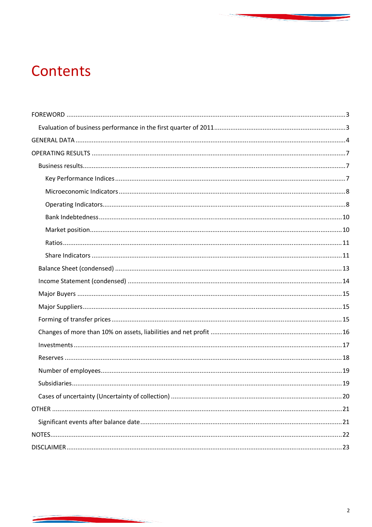## Contents

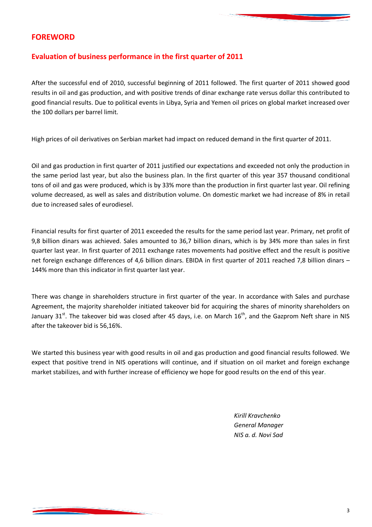#### **FOREWORD**

#### **Evaluation of business performance in the first quarter of 2011**

After the successful end of 2010, successful beginning of 2011 followed. The first quarter of 2011 showed good results in oil and gas production, and with positive trends of dinar exchange rate versus dollar this contributed to good financial results. Due to political events in Libya, Syria and Yemen oil prices on global market increased over the 100 dollars per barrel limit.

High prices of oil derivatives on Serbian market had impact on reduced demand in the first quarter of 2011.

Oil and gas production in first quarter of 2011 justified our expectations and exceeded not only the production in the same period last year, but also the business plan. In the first quarter of this year 357 thousand conditional tons of oil and gas were produced, which is by 33% more than the production in first quarter last year. Oil refining volume decreased, as well as sales and distribution volume. On domestic market we had increase of 8% in retail due to increased sales of eurodiesel.

Financial results for first quarter of 2011 exceeded the results for the same period last year. Primary, net profit of 9,8 billion dinars was achieved. Sales amounted to 36,7 billion dinars, which is by 34% more than sales in first quarter last year. In first quarter of 2011 exchange rates movements had positive effect and the result is positive net foreign exchange differences of 4,6 billion dinars. EBIDA in first quarter of 2011 reached 7,8 billion dinars – 144% more than this indicator in first quarter last year.

There was change in shareholders structure in first quarter of the year. In accordance with Sales and purchase Agreement, the majority shareholder initiated takeover bid for acquiring the shares of minority shareholders on January  $31^{st}$ . The takeover bid was closed after 45 days, i.e. on March  $16^{th}$ , and the Gazprom Neft share in NIS after the takeover bid is 56,16%.

We started this business year with good results in oil and gas production and good financial results followed. We expect that positive trend in NIS operations will continue, and if situation on oil market and foreign exchange market stabilizes, and with further increase of efficiency we hope for good results on the end of this year.

> *Kirill Kravchenko General Manager NIS a. d. Novi Sad*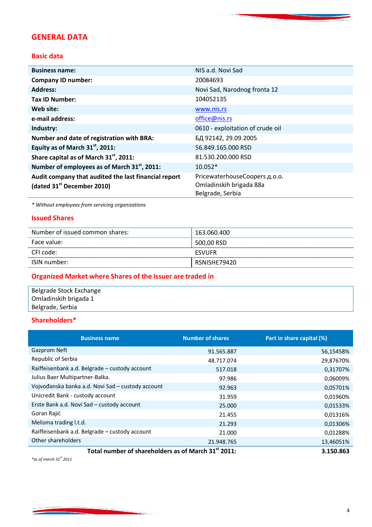### **GENERAL DATA**

#### **Basic data**

| <b>Business name:</b>                                    | NIS a.d. Novi Sad                |
|----------------------------------------------------------|----------------------------------|
| <b>Company ID number:</b>                                | 20084693                         |
| <b>Address:</b>                                          | Novi Sad, Narodnog fronta 12     |
| <b>Tax ID Number:</b>                                    | 104052135                        |
| Web site:                                                | www.nis.rs                       |
| e-mail address:                                          | office@nis.rs                    |
| Industry:                                                | 0610 - exploitation of crude oil |
| Number and date of registration with BRA:                | БД 92142, 29.09.2005             |
| Equity as of March 31 <sup>st</sup> , 2011:              | 56.849.165.000 RSD               |
| Share capital as of March 31 <sup>st</sup> , 2011:       | 81.530.200.000 RSD               |
| Number of employees as of March 31 <sup>st</sup> , 2011: | $10.052*$                        |
| Audit company that audited the last financial report     | PricewaterhouseCoopers д.о.о.    |
| (dated $31st$ December 2010)                             | Omladinskih brigada 88a          |
|                                                          | Belgrade, Serbia                 |

*\* Without employees from servicing organizations*

#### **Issued Shares**

| Number of issued common shares: | 163.060.400   |
|---------------------------------|---------------|
| Face value:                     | 500,00 RSD    |
| CFI code:                       | <b>FSVUFR</b> |
| ISIN number:                    | RSNISHE79420  |

## **Organized Market where Shares of the Issuer are traded in**

| Belgrade Stock Exchange |  |
|-------------------------|--|
| Omladinskih brigada 1   |  |
| Belgrade, Serbia        |  |

#### **Shareholders\***

| <b>Business name</b>                                            | <b>Number of shares</b> | Part in share capital (%) |
|-----------------------------------------------------------------|-------------------------|---------------------------|
| Gazprom Neft                                                    | 91.565.887              | 56,15458%                 |
| Republic of Serbia                                              | 48.717.074              | 29,87670%                 |
| Raiffeisenbank a.d. Belgrade – custody account                  | 517.018                 | 0,31707%                  |
| Julius Baer Multipartner-Balka.                                 | 97.986                  | 0,06009%                  |
| Vojvođanska banka a.d. Novi Sad - custody account               | 92.963                  | 0,05701%                  |
| Unicredit Bank - custody account                                | 31.959                  | 0,01960%                  |
| Erste Bank a.d. Novi Sad - custody account                      | 25,000                  | 0,01533%                  |
| Goran Rajić                                                     | 21.455                  | 0,01316%                  |
| Melisma trading l.t.d.                                          | 21.293                  | 0,01306%                  |
| Raiffeisenbank a.d. Belgrade - custody account                  | 21.000                  | 0,01288%                  |
| Other shareholders                                              | 21.948.765              | 13,46051%                 |
| Total number of shareholders as of March 31 <sup>st</sup> 2011: |                         | 3.150.863                 |

*\*as of march 31st 2011*

**Contract Contract Contract**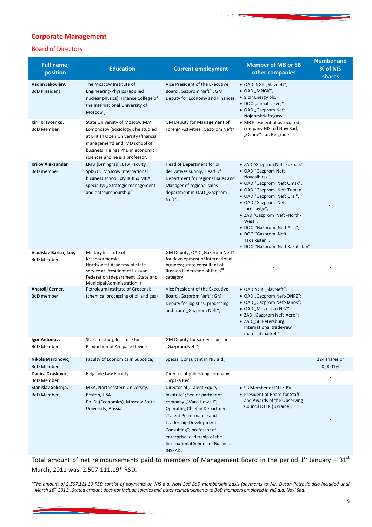#### **Corporate Management**

#### Board of Directors

| <b>Full name;</b><br>position                 | <b>Education</b>                                                                                                                                                                                                      | <b>Current employment</b>                                                                                                                                                                                                                                                                      | <b>Member of MB or SB</b><br>other companies                                                                                                                                                                                                                                                                                                              | <b>Number and</b><br>% of NIS<br>shares |
|-----------------------------------------------|-----------------------------------------------------------------------------------------------------------------------------------------------------------------------------------------------------------------------|------------------------------------------------------------------------------------------------------------------------------------------------------------------------------------------------------------------------------------------------------------------------------------------------|-----------------------------------------------------------------------------------------------------------------------------------------------------------------------------------------------------------------------------------------------------------------------------------------------------------------------------------------------------------|-----------------------------------------|
| Vadim Jakovljev,<br><b>BoD President</b>      | The Moscow Institute of<br>Engineering-Physics (applied<br>nuclear physics); Finance College of<br>the International University of<br>Moscow;                                                                         | Vice President of the Executive<br>Board "Gazprom Neft", GM<br>Deputy for Economy and Finances;                                                                                                                                                                                                | • OAD NGK "Slavneft",<br>$\bullet$ OAD "MNGK",<br>• Sibir Energy plc,<br>• DOO "Jamal razvoj"<br>• OAD "Gazprom Neft -<br>NojabrskNeftegasv".                                                                                                                                                                                                             |                                         |
| Kiril Kravcenko,<br><b>BoD Member</b>         | State University of Moscow M.V.<br>Lomonosov (Sociology); he studied<br>at British Open University (financial<br>management) and IMD school of<br>business. He has PhD in economic<br>sciences and he is a professor. | GM Deputy for Management of<br>Foreign Activities "Gazprom Neft"                                                                                                                                                                                                                               | • MB President of associated<br>company NIS a.d Novi Sad,<br>"Ozone" a.d. Belgrade                                                                                                                                                                                                                                                                        |                                         |
| <b>Krilov Aleksandar</b><br><b>BoD</b> member | LMU (Leningrad), Law Faculty<br>SpbGU, Moscow international<br>business school «MIRBIS» MBA,<br>specialty: "Strategic management<br>and entrepreneurship"                                                             | Head of Department for oil<br>derivatives supply, Head Of<br>Department for regional sales and<br>Manager of regional sales<br>department in OAD "Gazprom<br>Neft".                                                                                                                            | • ZAD "Gazprom Neft Kuzbass",<br>• OAD "Gazprom Neft<br>Novosibirsk",<br>• OAD "Gazprom Neft Omsk",<br>• OAD "Gazprom Neft Tumen",<br>• OAD "Gazprom Neft Ural",<br>• OAD "Gazprom Neft<br>Jaroslavlje",<br>• ZAD "Gazprom Neft -North-<br>West",<br>· DOO "Gazprom Neft Asia",<br>• DOO "Gazprom Neft<br>Tadžikistan",<br>• DOO "Gazprom Neft Kazahstan" |                                         |
| Vladislav Barisnjikov,<br><b>BoD Member</b>   | Military Institute of<br>Krasnozamensk;<br>North/west Academy of state<br>service at President of Russian<br>Federation (department, State and<br>Municipal Administration")                                          | GM Deputy, OAD "Gazprom Neft"<br>for development of international<br>business; state consultant of<br>Russian Federation of the 3rd<br>category.                                                                                                                                               |                                                                                                                                                                                                                                                                                                                                                           |                                         |
| Anatolij Cerner,<br><b>BoD</b> member         | Petroleum Institute of Grozensk<br>(chemical processing of oil and gas)                                                                                                                                               | Vice President of the Executive<br>Board "Gazprom Neft"; GM<br>Deputy for logistics, processing<br>and trade "Gazprom Neft";                                                                                                                                                                   | • OAD NGK "SlavNeft";<br>• OAD "Gazprom Neft-ONPZ";<br>• OAD "Gazprom Neft-Janos";<br>• OAD "Moskovski NPZ";<br>• ZAD "Gazprom Neft-Aero";<br>• ZAD "St. Petersburg<br>International trade-raw<br>material market "                                                                                                                                       |                                         |
| Igor Antonov,<br><b>BoD Member</b>            | St. Petersburg Institute for<br>Production of Airspace Devices                                                                                                                                                        | GM Deputy for safety issues in<br>"Gazprom Neft";                                                                                                                                                                                                                                              |                                                                                                                                                                                                                                                                                                                                                           |                                         |
| Nikola Martinovic,<br><b>BoD Member</b>       | Faculty of Economics in Subotica;                                                                                                                                                                                     | Special Consultant in NIS a.d.;                                                                                                                                                                                                                                                                |                                                                                                                                                                                                                                                                                                                                                           | 224 shares or<br>0,0001%                |
| Danica Draskovic,<br><b>BoD Member</b>        | Belgrade Law Faculty                                                                                                                                                                                                  | Director of publishing company<br>"Srpska Reč";                                                                                                                                                                                                                                                |                                                                                                                                                                                                                                                                                                                                                           |                                         |
| Stanislav Seksnja,<br><b>BoD Member</b>       | MBA, Northeastern University,<br>Boston, USA<br>Ph. D. (Economics), Moscow State<br>University, Russia                                                                                                                | Director of "Talent Equity<br>Institute"; Senior partner of<br>company "Ward Howell";<br><b>Operating Chief in Department</b><br>"Talent Performance and<br>Leadership Development<br>Consulting"; professor of<br>enterprise leadership of the<br>International School of Business<br>INSEAD. | • SB Member of DTEK BV<br>• President of Board for Staff<br>and Awards of the Observing<br>Council DTEK (Ukraine);                                                                                                                                                                                                                                        |                                         |

Total amount of net reimbursements paid to members of Management Board in the period  $1^{st}$  January –  $31^{st}$ March, 2011 was: 2.507.111,19\* RSD.

*\*The amount of 2.507.111,19 RSD consist of payments on NIS a.d. Novi Sad BoD membership basis (payments to Mr. Dusan Petrovic also included until March 16th 2011). Stated amount does not include salaries and other reimbursements to BoD members employed in NIS a.d. Novi Sad.*

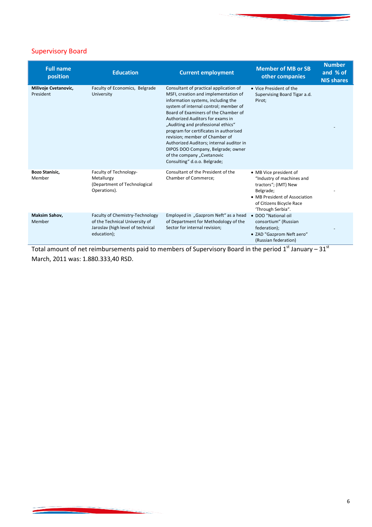#### Supervisory Board

| <b>Full name</b><br>position      | <b>Education</b>                                                                                                      | <b>Current employment</b>                                                                                                                                                                                                                                                                                                                                                                                                                                                                                   | <b>Member of MB or SB</b><br>other companies                                                                                                                               | <b>Number</b><br>and % of<br><b>NIS shares</b> |
|-----------------------------------|-----------------------------------------------------------------------------------------------------------------------|-------------------------------------------------------------------------------------------------------------------------------------------------------------------------------------------------------------------------------------------------------------------------------------------------------------------------------------------------------------------------------------------------------------------------------------------------------------------------------------------------------------|----------------------------------------------------------------------------------------------------------------------------------------------------------------------------|------------------------------------------------|
| Milivoje Cvetanovic,<br>President | Faculty of Economics, Belgrade<br>University                                                                          | Consultant of practical application of<br>MSFI, creation and implementation of<br>information systems, including the<br>system of internal control; member of<br>Board of Examiners of the Chamber of<br>Authorized Auditors for exams in<br>"Auditing and professional ethics"<br>program for certificates in authorised<br>revision; member of Chamber of<br>Authorized Auditors; internal auditor in<br>DIPOS DOO Company, Belgrade; owner<br>of the company "Cvetanovic<br>Consulting" d.o.o. Belgrade; | • Vice President of the<br>Supervising Board Tigar a.d.<br>Pirot;                                                                                                          |                                                |
| <b>Bozo Stanisic,</b><br>Member   | Faculty of Technology-<br>Metallurgy<br>(Department of Technological<br>Operations).                                  | Consultant of the President of the<br>Chamber of Commerce;                                                                                                                                                                                                                                                                                                                                                                                                                                                  | • MB Vice president of<br>"Industry of machines and<br>tractors"; (IMT) New<br>Belgrade;<br>• MB President of Association<br>of Citizens Bicycle Race<br>'Through Serbia". |                                                |
| Maksim Sahov,<br>Member           | Faculty of Chemistry-Technology<br>of the Technical University of<br>Jaroslav (high level of technical<br>education); | Employed in "Gazprom Neft" as a head<br>of Department for Methodology of the<br>Sector for internal revision;                                                                                                                                                                                                                                                                                                                                                                                               | • DOO "National oil<br>consortium" (Russian<br>federation);<br>• ZAD "Gazprom Neft aero"<br>(Russian federation)                                                           |                                                |

Total amount of net reimbursements paid to members of Supervisory Board in the period  $1^{\text{st}}$  January – 31 $^{\text{st}}$ March, 2011 was: 1.880.333,40 RSD.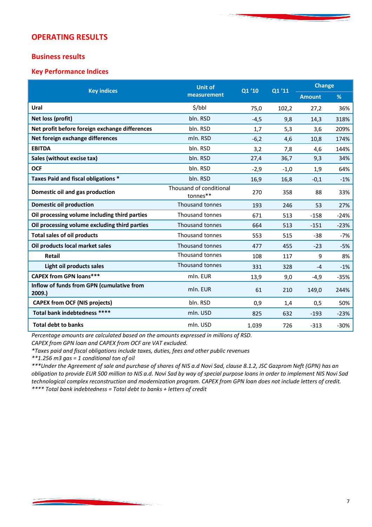#### **OPERATING RESULTS**

#### **Business results**

#### **Key Performance Indices**

| <b>Key indices</b>                                  | <b>Unit of</b>                      | Q1'10  | Q1'11  | <b>Change</b> |        |
|-----------------------------------------------------|-------------------------------------|--------|--------|---------------|--------|
|                                                     | measurement                         |        |        | <b>Amount</b> | %      |
| Ural                                                | \$/bbl                              | 75,0   | 102,2  | 27,2          | 36%    |
| Net loss (profit)                                   | bln. RSD                            | $-4,5$ | 9,8    | 14,3          | 318%   |
| Net profit before foreign exchange differences      | bln. RSD                            | 1,7    | 5,3    | 3,6           | 209%   |
| Net foreign exchange differences                    | mln. RSD                            | $-6,2$ | 4,6    | 10,8          | 174%   |
| <b>EBITDA</b>                                       | bln. RSD                            | 3,2    | 7,8    | 4,6           | 144%   |
| Sales (without excise tax)                          | bln. RSD                            | 27,4   | 36,7   | 9,3           | 34%    |
| <b>OCF</b>                                          | bln. RSD                            | $-2,9$ | $-1,0$ | 1,9           | 64%    |
| Taxes Paid and fiscal obligations *                 | bln. RSD                            | 16,9   | 16,8   | $-0,1$        | $-1%$  |
| Domestic oil and gas production                     | Thousand of conditional<br>tonnes** | 270    | 358    | 88            | 33%    |
| <b>Domestic oil production</b>                      | Thousand tonnes                     | 193    | 246    | 53            | 27%    |
| Oil processing volume including third parties       | Thousand tonnes                     | 671    | 513    | $-158$        | $-24%$ |
| Oil processing volume excluding third parties       | Thousand tonnes                     | 664    | 513    | $-151$        | $-23%$ |
| <b>Total sales of oil products</b>                  | Thousand tonnes                     | 553    | 515    | $-38$         | $-7%$  |
| Oil products local market sales                     | Thousand tonnes                     | 477    | 455    | $-23$         | $-5%$  |
| Retail                                              | Thousand tonnes                     | 108    | 117    | 9             | 8%     |
| Light oil products sales                            | Thousand tonnes                     | 331    | 328    | $-4$          | $-1%$  |
| <b>CAPEX from GPN loans***</b>                      | mln. EUR                            | 13,9   | 9,0    | $-4,9$        | $-35%$ |
| Inflow of funds from GPN (cumulative from<br>2009.) | mln. EUR                            | 61     | 210    | 149,0         | 244%   |
| <b>CAPEX from OCF (NIS projects)</b>                | bln. RSD                            | 0,9    | 1,4    | 0,5           | 50%    |
| Total bank indebtedness ****                        | mln. USD                            | 825    | 632    | $-193$        | $-23%$ |
| <b>Total debt to banks</b>                          | mln. USD                            | 1.039  | 726    | $-313$        | $-30%$ |

*Percentage amounts are calculated based on the amounts expressed in millions of RSD.*

*CAPEX from GPN loan and CAPEX from OCF are VAT excluded.*

*\*Taxes paid and fiscal obligations include taxes, duties, fees and other public revenues* 

*\*\*1.256 m3 gas = 1 conditional ton of oil* 

*\*\*\*Under the Agreement of sale and purchase of shares of NIS a.d Novi Sad, clause 8.1.2, JSC Gazprom Neft (GPN) has an obligation to provide EUR 500 million to NIS a.d. Novi Sad by way of special purpose loans in order to implement NIS Novi Sad technological complex reconstruction and modernization program. CAPEX from GPN loan does not include letters of credit. \*\*\*\* Total bank indebtedness = Total debt to banks + letters of credit*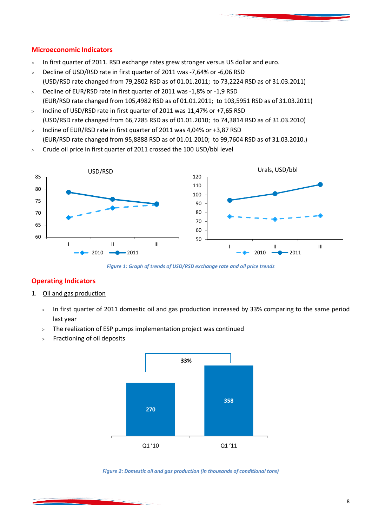#### **Microeconomic Indicators**

- $>$  In first quarter of 2011. RSD exchange rates grew stronger versus US dollar and euro.
- > Decline of USD/RSD rate in first quarter of 2011 was -7,64% or -6,06 RSD (USD/RSD rate changed from 79,2802 RSD as of 01.01.2011; to 73,2224 RSD as of 31.03.2011)
- > Decline of EUR/RSD rate in first quarter of 2011 was -1,8% or -1,9 RSD (EUR/RSD rate changed from 105,4982 RSD as of 01.01.2011; to 103,5951 RSD as of 31.03.2011)
- $>$  Incline of USD/RSD rate in first quarter of 2011 was 11,47% or +7,65 RSD (USD/RSD rate changed from 66,7285 RSD as of 01.01.2010; to 74,3814 RSD as of 31.03.2010)
- $>$  Incline of EUR/RSD rate in first quarter of 2011 was 4,04% or +3,87 RSD (EUR/RSD rate changed from 95,8888 RSD as of 01.01.2010; to 99,7604 RSD as of 31.03.2010.)
- Crude oil price in first quarter of 2011 crossed the 100 USD/bbl level



*Figure 1: Graph of trends of USD/RSD exchange rate and oil price trends* 

#### **Operating Indicators**

- 1. Oil and gas production
	- > In first quarter of 2011 domestic oil and gas production increased by 33% comparing to the same period last year
	- The realization of ESP pumps implementation project was continued
	- Fractioning of oil deposits



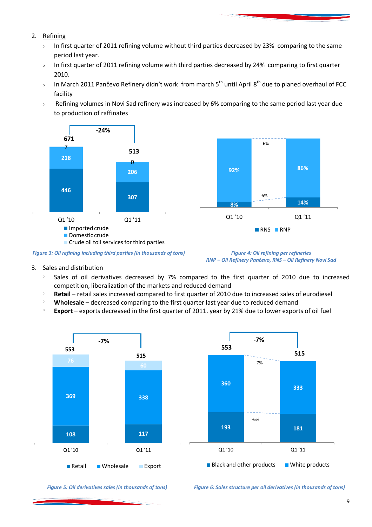- 2. Refining
	- $>$  In first quarter of 2011 refining volume without third parties decreased by 23% comparing to the same period last year.
	- > In first quarter of 2011 refining volume with third parties decreased by 24% comparing to first quarter 2010.
	- $>$  In March 2011 Pančevo Refinery didn't work from march 5<sup>th</sup> until April 8<sup>th</sup> due to planed overhaul of FCC facility
	- Refining volumes in Novi Sad refinery was increased by 6% comparing to the same period last year due to production of raffinates





*RNP – Oil Refinery Pančevo, RNS – Oil Refinery Novi Sad*

- 3. Sales and distribution
	- Sales of oil derivatives decreased by 7% compared to the first quarter of 2010 due to increased competition, liberalization of the markets and reduced demand
	- **Retail** retail sales increased compared to first quarter of 2010 due to increased sales of eurodiesel
	- **Wholesale** decreased comparing to the first quarter last year due to reduced demand
	- **Export** exports decreased in the first quarter of 2011. year by 21% due to lower exports of oil fuel





*Figure 5: Oil derivatives sales (in thousands of tons) Figure 6: Sales structure per oil derivatives (in thousands of tons)*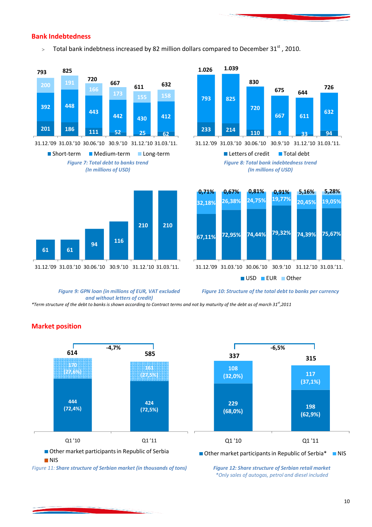#### **Bank Indebtedness**

> Total bank indebtness increased by 82 million dollars compared to December 31<sup>st</sup> , 2010.



31.12.'09 31.03.'10 30.06.'10 30.9.'10 31.12.'10 31.03.'11.





**<sup>233</sup> <sup>214</sup> <sup>110</sup> <sup>8</sup> <sup>33</sup> <sup>94</sup> 793 825 720 667 611 632 1.026 1.039 830 675 644 <sup>632</sup> <sup>726</sup>**

31.12.'09 31.03.'10 30.06.'10 30.9.'10 31.12.'10 31.03.'11.

*Figure 8: Total bank indebtedness trend (In millions of USD)* Letters of credit Total debt



*Figure 9: GPN loan (in millions of EUR, VAT excluded and without letters of credit)*

*Figure 10: Structure of the total debt to banks per currency*

*\*Term structure of the debt to banks is shown according to Contract terms and not by maturity of the debt as of march 31st ,2011*



#### **Market position**

*\*Only sales of autogas, petrol and diesel included*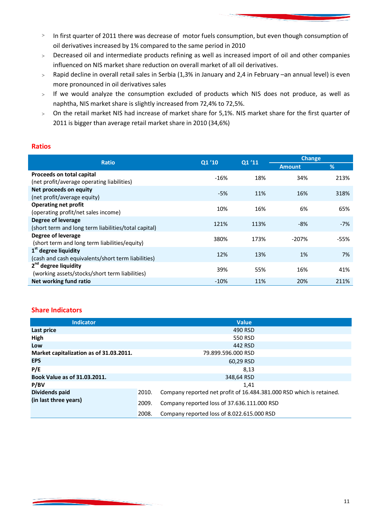- > In first quarter of 2011 there was decrease of motor fuels consumption, but even though consumption of oil derivatives increased by 1% compared to the same period in 2010
- Decreased oil and intermediate products refining as well as increased import of oil and other companies influenced on NIS market share reduction on overall market of all oil derivatives.
- Rapid decline in overall retail sales in Serbia (1,3% in January and 2,4 in February –an annual level) is even more pronounced in oil derivatives sales
- $>$  If we would analyze the consumption excluded of products which NIS does not produce, as well as naphtha, NIS market share is slightly increased from 72,4% to 72,5%.
- On the retail market NIS had increase of market share for 5,1%. NIS market share for the first quarter of 2011 is bigger than average retail market share in 2010 (34,6%)

#### **Ratios**

| <b>Ratio</b>                                                                 | Q1'10  | Q1'11 | <b>Change</b> |               |  |
|------------------------------------------------------------------------------|--------|-------|---------------|---------------|--|
|                                                                              |        |       | <b>Amount</b> | $\frac{9}{6}$ |  |
| Proceeds on total capital<br>(net profit/average operating liabilities)      | $-16%$ | 18%   | 34%           | 213%          |  |
| Net proceeds on equity<br>(net profit/average equity)                        | $-5%$  | 11%   | 16%           | 318%          |  |
| <b>Operating net profit</b><br>(operating profit/net sales income)           | 10%    | 16%   | 6%            | 65%           |  |
| Degree of leverage<br>(short term and long term liabilities/total capital)   | 121%   | 113%  | $-8%$         | $-7%$         |  |
| Degree of leverage<br>(short term and long term liabilities/equity)          | 380%   | 173%  | $-207%$       | $-55%$        |  |
| $1st$ degree liquidity<br>(cash and cash equivalents/short term liabilities) | 12%    | 13%   | 1%            | 7%            |  |
| $2nd$ degree liquidity<br>(working assets/stocks/short term liabilities)     | 39%    | 55%   | 16%           | 41%           |  |
| Net working fund ratio                                                       | $-10%$ | 11%   | 20%           | 211%          |  |

#### **Share Indicators**

| <b>Indicator</b>                        |       | <b>Value</b>                                                         |
|-----------------------------------------|-------|----------------------------------------------------------------------|
| Last price                              |       | 490 RSD                                                              |
| High                                    |       | 550 RSD                                                              |
| Low                                     |       | 442 RSD                                                              |
| Market capitalization as of 31.03.2011. |       | 79.899.596.000 RSD                                                   |
| <b>EPS</b>                              |       | 60,29 RSD                                                            |
| P/E                                     |       | 8,13                                                                 |
| Book Value as of 31.03.2011.            |       | 348,64 RSD                                                           |
| P/BV                                    |       | 1.41                                                                 |
| Dividends paid                          | 2010. | Company reported net profit of 16.484.381.000 RSD which is retained. |
| (in last three years)                   | 2009. | Company reported loss of 37.636.111.000 RSD                          |
|                                         | 2008. | Company reported loss of 8.022.615.000 RSD                           |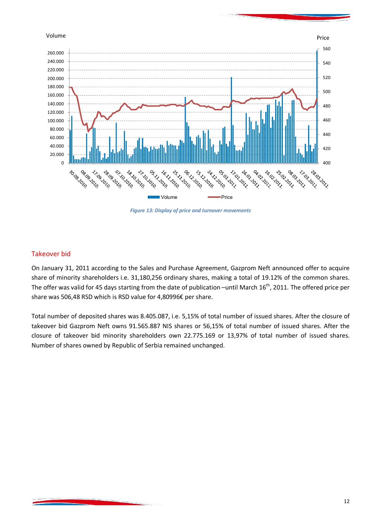



*Figure 13: Display of price and turnover movements* 

#### Takeover bid

On January 31, 2011 according to the Sales and Purchase Agreement, Gazprom Neft announced offer to acquire share of minority shareholders i.e. 31,180,256 ordinary shares, making a total of 19.12% of the common shares. The offer was valid for 45 days starting from the date of publication –until March  $16^{th}$ , 2011. The offered price per share was 506,48 RSD which is RSD value for 4,80996€ per share.

Total number of deposited shares was 8.405.087, i.e. 5,15% of total number of issued shares. After the closure of takeover bid Gazprom Neft owns 91.565.887 NIS shares or 56,15% of total number of issued shares. After the closure of takeover bid minority shareholders own 22.775.169 or 13,97% of total number of issued shares. Number of shares owned by Republic of Serbia remained unchanged.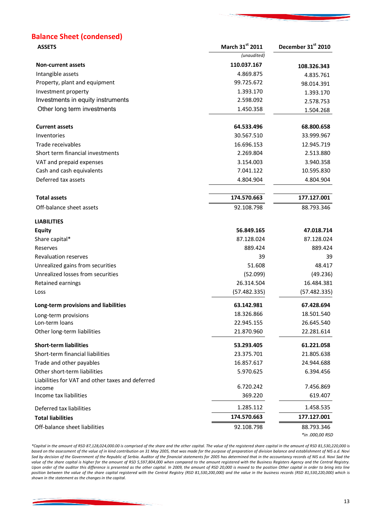## **Balance Sheet (condensed)**

| <b>ASSETS</b>                                    | March 31st 2011 | December 31 <sup>st</sup> 2010 |
|--------------------------------------------------|-----------------|--------------------------------|
|                                                  | (unaudited)     |                                |
| <b>Non-current assets</b>                        | 110.037.167     | 108.326.343                    |
| Intangible assets                                | 4.869.875       | 4.835.761                      |
| Property, plant and equipment                    | 99.725.672      | 98.014.391                     |
| Investment property                              | 1.393.170       | 1.393.170                      |
| Investments in equity instruments                | 2.598.092       | 2.578.753                      |
| Other long term investments                      | 1.450.358       | 1.504.268                      |
| <b>Current assets</b>                            | 64.533.496      | 68.800.658                     |
| Inventories                                      | 30.567.510      | 33.999.967                     |
| Trade receivables                                | 16.696.153      | 12.945.719                     |
| Short term financial investments                 | 2.269.804       | 2.513.880                      |
| VAT and prepaid expenses                         | 3.154.003       | 3.940.358                      |
| Cash and cash equivalents                        | 7.041.122       | 10.595.830                     |
| Deferred tax assets                              | 4.804.904       | 4.804.904                      |
| <b>Total assets</b>                              | 174.570.663     | 177.127.001                    |
| Off-balance sheet assets                         | 92.108.798      | 88.793.346                     |
| <b>LIABILITIES</b>                               |                 |                                |
| <b>Equity</b>                                    | 56.849.165      | 47.018.714                     |
| Share capital*                                   | 87.128.024      | 87.128.024                     |
| Reserves                                         | 889.424         | 889.424                        |
| <b>Revaluation reserves</b>                      | 39              | 39                             |
| Unrealized gains from securities                 | 51.608          | 48.417                         |
| Unrealized losses from securities                | (52.099)        | (49.236)                       |
| Retained earnings                                | 26.314.504      | 16.484.381                     |
| Loss                                             | (57.482.335)    | (57.482.335)                   |
| Long-term provisions and liabilities             | 63.142.981      | 67.428.694                     |
| Long-term provisions                             | 18.326.866      | 18.501.540                     |
| Lon-term loans                                   | 22.945.155      | 26.645.540                     |
| Other long-term liabilities                      | 21.870.960      | 22.281.614                     |
| <b>Short-term liabilities</b>                    | 53.293.405      | 61.221.058                     |
| Short-term financial liabilities                 | 23.375.701      | 21.805.638                     |
| Trade and other payables                         | 16.857.617      | 24.944.688                     |
| Other short-term liabilities                     | 5.970.625       | 6.394.456                      |
| Liabilities for VAT and other taxes and deferred |                 |                                |
| income                                           | 6.720.242       | 7.456.869                      |
| Income tax liabilities                           | 369.220         | 619.407                        |
| Deferred tax liabilities                         | 1.285.112       | 1.458.535                      |
| <b>Total liabilities</b>                         | 174.570.663     | 177.127.001                    |
| Off-balance sheet liabilities                    | 92.108.798      | 88.793.346<br>*in .000,00 RSD  |

*\*Capital in the amount of RSD 87,128,024,000.00 is comprised of the share and the other capital. The value of the registered share capital in the amount of RSD 81,530,220,000 is based on the assessment of the value of in kind contribution on 31 May 2005, that was made for the purpose of preparation of division balance and establishment of NIS a.d. Novi*  Sad by decision of the Government of the Republic of Serbia. Auditor of the financial statements for 2005 has determined that in the accountancy records of NIS a.d. Novi Sad the value of the share capital is higher for the amount of RSD 5,597,804,000 when compared to the amount registered with the Business Registers Agency and the Central Registry. Upon order of the auditor this difference is presented as the other capital. In 2009, the amount of RSD 20,000 is moved to the position Other capital in order to bring into line *position between the value of the share capital registered with the Central Registry (RSD 81,530,200,000) and the value in the business records (RSD 81,530,220,000) which is shown in the statement as the changes in the capital.*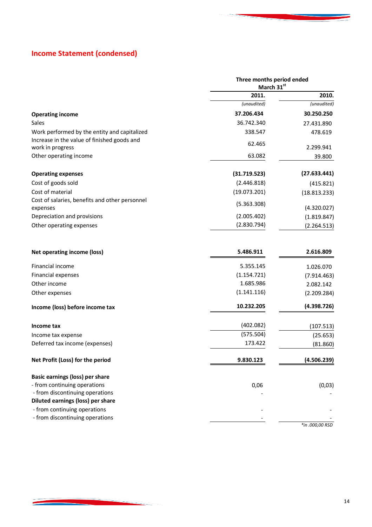## **Income Statement (condensed)**

|                                                                   | Three months period ended<br>March 31st |              |
|-------------------------------------------------------------------|-----------------------------------------|--------------|
|                                                                   | 2011.                                   | 2010.        |
|                                                                   | (unaudited)                             | (unaudited)  |
| <b>Operating income</b>                                           | 37.206.434                              | 30.250.250   |
| Sales                                                             | 36.742.340                              | 27.431.890   |
| Work performed by the entity and capitalized                      | 338.547                                 | 478.619      |
| Increase in the value of finished goods and<br>work in progress   | 62.465                                  | 2.299.941    |
| Other operating income                                            | 63.082                                  | 39.800       |
| <b>Operating expenses</b>                                         | (31.719.523)                            | (27.633.441) |
| Cost of goods sold                                                | (2.446.818)                             | (415.821)    |
| Cost of material                                                  | (19.073.201)                            | (18.813.233) |
| Cost of salaries, benefits and other personnel<br>expenses        | (5.363.308)                             | (4.320.027)  |
| Depreciation and provisions                                       | (2.005.402)                             | (1.819.847)  |
| Other operating expenses                                          | (2.830.794)                             | (2.264.513)  |
| Net operating income (loss)                                       | 5.486.911                               | 2.616.809    |
| <b>Financial income</b>                                           | 5.355.145                               | 1.026.070    |
| <b>Financial expenses</b>                                         | (1.154.721)                             | (7.914.463)  |
| Other income                                                      | 1.685.986                               | 2.082.142    |
| Other expenses                                                    | (1.141.116)                             | (2.209.284)  |
| Income (loss) before income tax                                   | 10.232.205                              | (4.398.726)  |
| Income tax                                                        | (402.082)                               | (107.513)    |
| Income tax expense                                                | (575.504)                               | (25.653)     |
| Deferred tax income (expenses)                                    | 173.422                                 | (81.860)     |
| Net Profit (Loss) for the period                                  | 9.830.123                               | (4.506.239)  |
| Basic earnings (loss) per share                                   |                                         |              |
| - from continuing operations                                      | 0,06                                    | (0,03)       |
| - from discontinuing operations                                   |                                         |              |
| Diluted earnings (loss) per share<br>- from continuing operations |                                         |              |
| - from discontinuing operations                                   |                                         |              |

*\*in .000,00 RSD*

and the company of the company of the company of the company of the company of the company of the company of the company of the company of the company of the company of the company of the company of the company of the comp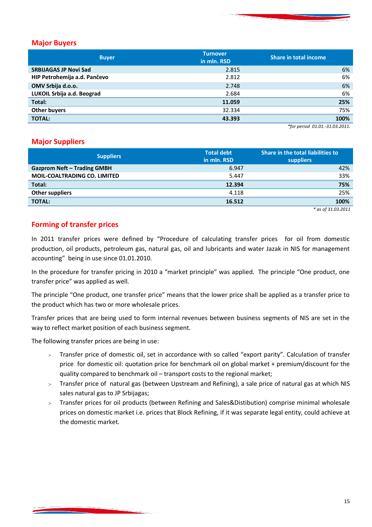

#### **Major Buyers**

| <b>Buyer</b>                 | <b>Turnover</b><br>in mln. RSD | Share in total income |
|------------------------------|--------------------------------|-----------------------|
| <b>SRBIJAGAS JP Novi Sad</b> | 2.815                          | 6%                    |
| HIP Petrohemija a.d. Pančevo | 2.812                          | 6%                    |
| OMV Srbija d.o.o.            | 2.748                          | 6%                    |
| LUKOIL Srbija a.d. Beograd   | 2.684                          | 6%                    |
| Total:                       | 11.059                         | 25%                   |
| <b>Other buyers</b>          | 32.334                         | 75%                   |
| <b>TOTAL:</b>                | 43.393                         | 100%                  |

*\*for period 01.01.-31.03.2011.*

#### **Major Suppliers**

| <b>Suppliers</b>                    | <b>Total debt</b><br>in mln. RSD | Share in the total liabilities to<br><b>suppliers</b> |
|-------------------------------------|----------------------------------|-------------------------------------------------------|
| <b>Gazprom Neft – Trading GMBH</b>  | 6.947                            | 42%                                                   |
| <b>MOIL-COALTRADING CO. LIMITED</b> | 5.447                            | 33%                                                   |
| Total:                              | 12.394                           | 75%                                                   |
| <b>Other suppliers</b>              | 4.118                            | 25%                                                   |
| <b>TOTAL:</b>                       | 16.512                           | 100%                                                  |
|                                     |                                  | $\mathcal{L}$ . The concern                           |

*\* as of 31.03.2011*

#### **Forming of transfer prices**

In 2011 transfer prices were defined by "Procedure of calculating transfer prices for oil from domestic production, oil products, petroleum gas, natural gas, oil and lubricants and water Jazak in NIS for management accounting" being in use since 01.01.2010.

In the procedure for transfer pricing in 2010 a "market principle" was applied. The principle "One product, one transfer price" was applied as well.

The principle "One product, one transfer price" means that the lower price shall be applied as a transfer price to the product which has two or more wholesale prices.

Transfer prices that are being used to form internal revenues between business segments of NIS are set in the way to reflect market position of each business segment.

The following transfer prices are being in use:

- Transfer price of domestic oil, set in accordance with so called "export parity". Calculation of transfer price for domestic oil: quotation price for benchmark oil on global market + premium/discount for the quality compared to benchmark oil – transport costs to the regional market;
- Transfer price of natural gas (between Upstream and Refining), a sale price of natural gas at which NIS sales natural gas to JP Srbijagas;
- Transfer prices for oil products (between Refining and Sales&Distibution) comprise minimal wholesale prices on domestic market i.e. prices that Block Refining, if it was separate legal entity, could achieve at the domestic market.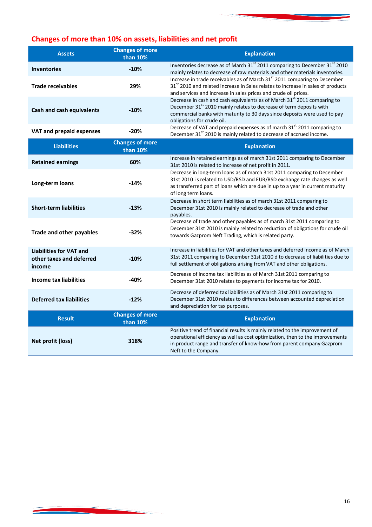## **Changes of more than 10% on assets, liabilities and net profit**

| <b>Assets</b>                                                        | <b>Changes of more</b><br>than 10% | <b>Explanation</b>                                                                                                                                                                                                                                                                 |
|----------------------------------------------------------------------|------------------------------------|------------------------------------------------------------------------------------------------------------------------------------------------------------------------------------------------------------------------------------------------------------------------------------|
| <b>Inventories</b>                                                   | $-10%$                             | Inventories decrease as of March 31 <sup>st</sup> 2011 comparing to December 31 <sup>st</sup> 2010<br>mainly relates to decrease of raw materials and other materials inventories.                                                                                                 |
| <b>Trade receivables</b>                                             | 29%                                | Increase in trade receivables as of March 31 <sup>st</sup> 2011 comparing to December<br>31 <sup>st</sup> 2010 and related increase in Sales relates to increase in sales of products<br>and services and increase in sales prices and crude oil prices.                           |
| <b>Cash and cash equivalents</b>                                     | $-10%$                             | Decrease in cash and cash equivalents as of March 31 <sup>st</sup> 2011 comparing to<br>December 31 <sup>st</sup> 2010 mainly relates to decrease of term deposits with<br>commercial banks with maturity to 30 days since deposits were used to pay<br>obligations for crude oil. |
| VAT and prepaid expenses                                             | $-20%$                             | Decrease of VAT and prepaid expenses as of march 31 <sup>st</sup> 2011 comparing to<br>December 31 <sup>st</sup> 2010 is mainly related to decrease of accrued income.                                                                                                             |
| <b>Liabilities</b>                                                   | <b>Changes of more</b><br>than 10% | <b>Explanation</b>                                                                                                                                                                                                                                                                 |
| <b>Retained earnings</b>                                             | 60%                                | Increase in retained earnings as of march 31st 2011 comparing to December<br>31st 2010 is related to increase of net profit in 2011.                                                                                                                                               |
| Long-term loans                                                      | $-14%$                             | Decrease in long-term loans as of march 31st 2011 comparing to December<br>31st 2010 is related to USD/RSD and EUR/RSD exchange rate changes as well<br>as transferred part of loans which are due in up to a year in current maturity<br>of long term loans.                      |
| <b>Short-term liabilities</b>                                        | $-13%$                             | Decrease in short term liabilities as of march 31st 2011 comparing to<br>December 31st 2010 is mainly related to decrease of trade and other<br>payables.                                                                                                                          |
| <b>Trade and other payables</b>                                      | $-32%$                             | Decrease of trade and other payables as of march 31st 2011 comparing to<br>December 31st 2010 is mainly related to reduction of obligations for crude oil<br>towards Gazprom Neft Trading, which is related party.                                                                 |
| <b>Liabilities for VAT and</b><br>other taxes and deferred<br>income | $-10%$                             | Increase in liabilities for VAT and other taxes and deferred income as of March<br>31st 2011 comparing to December 31st 2010 d to decrease of liabilities due to<br>full settlement of obligations arising from VAT and other obligations.                                         |
| <b>Income tax liabilities</b>                                        | $-40%$                             | Decrease of income tax liabilities as of March 31st 2011 comparing to<br>December 31st 2010 relates to payments for income tax for 2010.                                                                                                                                           |
| <b>Deferred tax liabilities</b>                                      | $-12%$                             | Decrease of deferred tax liabilities as of March 31st 2011 comparing to<br>December 31st 2010 relates to differences between accounted depreciation<br>and depreciation for tax purposes.                                                                                          |
| <b>Result</b>                                                        | <b>Changes of more</b><br>than 10% | <b>Explanation</b>                                                                                                                                                                                                                                                                 |
| Net profit (loss)                                                    | 318%                               | Positive trend of financial results is mainly related to the improvement of<br>operational efficiency as well as cost optimization, then to the improvements<br>in product range and transfer of know-how from parent company Gazprom<br>Neft to the Company.                      |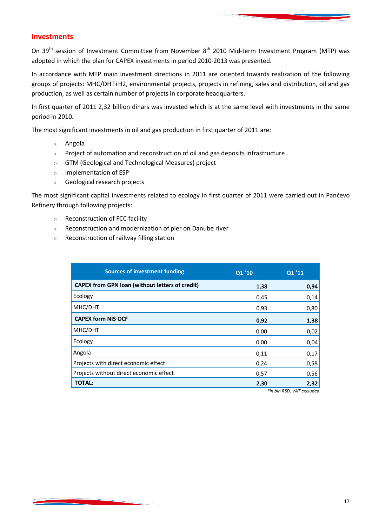#### **Investments**

On 39<sup>th</sup> session of Investment Committee from November 8<sup>th</sup> 2010 Mid-term Investment Program (MTP) was adopted in which the plan for CAPEX investments in period 2010-2013 was presented.

In accordance with MTP main investment directions in 2011 are oriented towards realization of the following groups of projects: MHC/DHT+H2, environmental projects, projects in refining, sales and distribution, oil and gas production, as well as certain number of projects in corporate headquarters.

In first quarter of 2011 2,32 billion dinars was invested which is at the same level with investments in the same period in 2010.

The most significant investments in oil and gas production in first quarter of 2011 are:

- Angola
- $>$  Project of automation and reconstruction of oil and gas deposits infrastructure
- GTM (Geological and Technological Measures) project
- > Implementation of ESP
- Geological research projects

The most significant capital investments related to ecology in first quarter of 2011 were carried out in Pančevo Refinery through following projects:

- > Reconstruction of FCC facility
- Reconstruction and modernization of pier on Danube river
- Reconstruction of railway filling station

| <b>Sources of investment funding</b>                   | Q1'10 | Q1'11 |
|--------------------------------------------------------|-------|-------|
| <b>CAPEX from GPN loan (without letters of credit)</b> | 1,38  | 0,94  |
| Ecology                                                | 0,45  | 0,14  |
| MHC/DHT                                                | 0,93  | 0,80  |
| <b>CAPEX form NIS OCF</b>                              | 0,92  | 1,38  |
| MHC/DHT                                                | 0,00  | 0,02  |
| Ecology                                                | 0,00  | 0,04  |
| Angola                                                 | 0,11  | 0,17  |
| Projects with direct economic effect                   | 0,24  | 0,58  |
| Projects without direct economic effect                | 0,57  | 0,56  |
| <b>TOTAL:</b>                                          | 2,30  | 2,32  |

*\*in bln RSD, VAT excluded*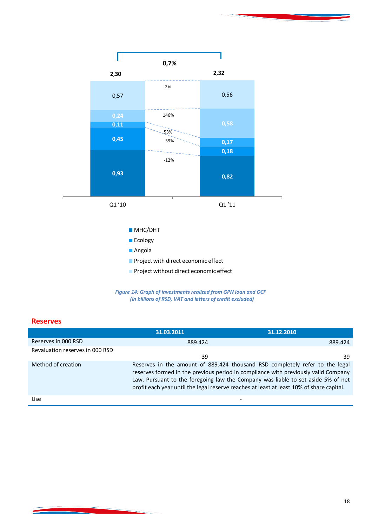



#### **Reserves**

<u> De Bernard e Brenadel (m. 1984)</u>

|                                 | 31.03.2011                                                                                                                                                                                                                                                                                                                                         | 31.12.2010 |  |
|---------------------------------|----------------------------------------------------------------------------------------------------------------------------------------------------------------------------------------------------------------------------------------------------------------------------------------------------------------------------------------------------|------------|--|
| Reserves in 000 RSD             | 889.424                                                                                                                                                                                                                                                                                                                                            | 889.424    |  |
| Revaluation reserves in 000 RSD | 39                                                                                                                                                                                                                                                                                                                                                 | 39         |  |
| Method of creation              | Reserves in the amount of 889.424 thousand RSD completely refer to the legal<br>reserves formed in the previous period in compliance with previously valid Company<br>Law. Pursuant to the foregoing law the Company was liable to set aside 5% of net<br>profit each year until the legal reserve reaches at least at least 10% of share capital. |            |  |
| Use                             |                                                                                                                                                                                                                                                                                                                                                    |            |  |

**Contract Contract Contract**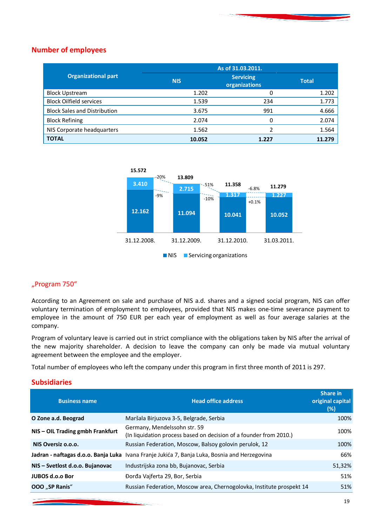#### **Number of employees**

|                                     | As of 31.03.2011. |                                   |              |
|-------------------------------------|-------------------|-----------------------------------|--------------|
| <b>Organizational part</b>          | <b>NIS</b>        | <b>Servicing</b><br>organizations | <b>Total</b> |
| <b>Block Upstream</b>               | 1.202             |                                   | 1.202        |
| <b>Block Oilfield services</b>      | 1.539             | 234                               | 1.773        |
| <b>Block Sales and Distribution</b> | 3.675             | 991                               | 4.666        |
| <b>Block Refining</b>               | 2.074             |                                   | 2.074        |
| NIS Corporate headquarters          | 1.562             |                                   | 1.564        |
| <b>TOTAL</b>                        | 10.052            | 1.227                             |              |



#### "Program 750"

According to an Agreement on sale and purchase of NIS a.d. shares and a signed social program, NIS can offer voluntary termination of employment to employees, provided that NIS makes one-time severance payment to employee in the amount of 750 EUR per each year of employment as well as four average salaries at the company.

Program of voluntary leave is carried out in strict compliance with the obligations taken by NIS after the arrival of the new majority shareholder. A decision to leave the company can only be made via mutual voluntary agreement between the employee and the employer.

Total number of employees who left the company under this program in first three month of 2011 is 297.

#### **Subsidiaries**

| <b>Head office address</b>                                                                         | Share in<br>original capital<br>(%)                                   |
|----------------------------------------------------------------------------------------------------|-----------------------------------------------------------------------|
| Maršala Birjuzova 3-5, Belgrade, Serbia                                                            | 100%                                                                  |
| Germany, Mendelssohn str. 59<br>(In liquidation process based on decision of a founder from 2010.) | 100%                                                                  |
| Russian Federation, Moscow, Balsoy golovin perulok, 12                                             | 100%                                                                  |
| Jadran - naftagas d.o.o. Banja Luka Ivana Franje Jukića 7, Banja Luka, Bosnia and Herzegovina      | 66%                                                                   |
| Industrijska zona bb, Bujanovac, Serbia                                                            | 51,32%                                                                |
| Đorđa Vajferta 29, Bor, Serbia                                                                     | 51%                                                                   |
|                                                                                                    | 51%                                                                   |
|                                                                                                    | Russian Federation, Moscow area, Chernogolovka, Institute prospekt 14 |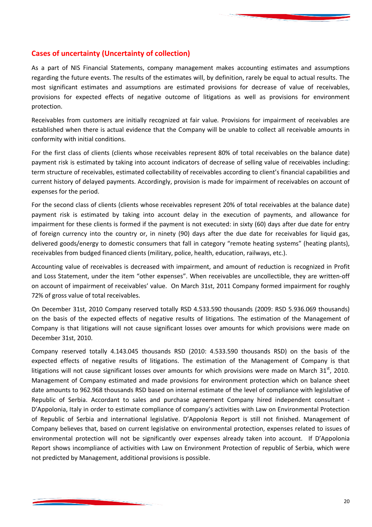

#### **Cases of uncertainty (Uncertainty of collection)**

As a part of NIS Financial Statements, company management makes accounting estimates and assumptions regarding the future events. The results of the estimates will, by definition, rarely be equal to actual results. The most significant estimates and assumptions are estimated provisions for decrease of value of receivables, provisions for expected effects of negative outcome of litigations as well as provisions for environment protection.

Receivables from customers are initially recognized at fair value. Provisions for impairment of receivables are established when there is actual evidence that the Company will be unable to collect all receivable amounts in conformity with initial conditions.

For the first class of clients (clients whose receivables represent 80% of total receivables on the balance date) payment risk is estimated by taking into account indicators of decrease of selling value of receivables including: term structure of receivables, estimated collectability of receivables according to client's financial capabilities and current history of delayed payments. Accordingly, provision is made for impairment of receivables on account of expenses for the period.

For the second class of clients (clients whose receivables represent 20% of total receivables at the balance date) payment risk is estimated by taking into account delay in the execution of payments, and allowance for impairment for these clients is formed if the payment is not executed: in sixty (60) days after due date for entry of foreign currency into the country or, in ninety (90) days after the due date for receivables for liquid gas, delivered goods/energy to domestic consumers that fall in category "remote heating systems" (heating plants), receivables from budged financed clients (military, police, health, education, railways, etc.).

Accounting value of receivables is decreased with impairment, and amount of reduction is recognized in Profit and Loss Statement, under the item "other expenses". When receivables are uncollectible, they are written-off on account of impairment of receivables' value. On March 31st, 2011 Company formed impairment for roughly 72% of gross value of total receivables.

On December 31st, 2010 Company reserved totally RSD 4.533.590 thousands (2009: RSD 5.936.069 thousands) on the basis of the expected effects of negative results of litigations. The estimation of the Management of Company is that litigations will not cause significant losses over amounts for which provisions were made on December 31st, 2010.

Company reserved totally 4.143.045 thousands RSD (2010: 4.533.590 thousands RSD) on the basis of the expected effects of negative results of litigations. The estimation of the Management of Company is that litigations will not cause significant losses over amounts for which provisions were made on March 31<sup>st</sup>, 2010. Management of Company estimated and made provisions for environment protection which on balance sheet date amounts to 962.968 thousands RSD based on internal estimate of the level of compliance with legislative of Republic of Serbia. Accordant to sales and purchase agreement Company hired independent consultant - D'Appolonia, Italy in order to estimate compliance of company's activities with Law on Environmental Protection of Republic of Serbia and international legislative. D'Appolonia Report is still not finished. Management of Company believes that, based on current legislative on environmental protection, expenses related to issues of environmental protection will not be significantly over expenses already taken into account. If D'Appolonia Report shows incompliance of activities with Law on Environment Protection of republic of Serbia, which were not predicted by Management, additional provisions is possible.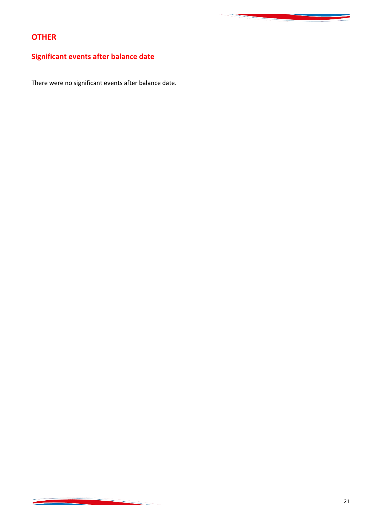## **OTHER**

## **Significant events after balance date**

There were no significant events after balance date.

<u>and the company of the company of the company of the company of the company of the company of the company of the company of the company of the company of the company of the company of the company of the company of the com</u>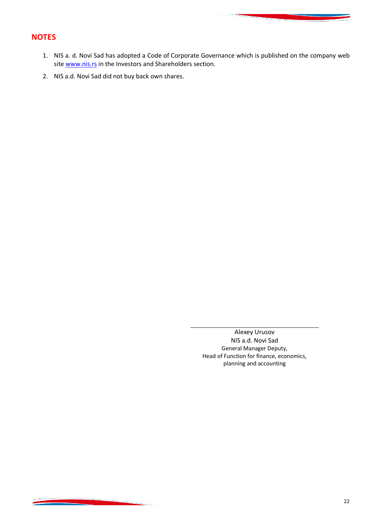#### **NOTES**

- 1. NIS a. d. Novi Sad has adopted a Code of Corporate Governance which is published on the company web site www.nis.rs in the Investors and Shareholders section.
- 2. NIS a.d. Novi Sad did not buy back own shares.

Alexey Urusov NIS a.d. Novi Sad General Manager Deputy, Head of Function for finance, economics, planning and accounting